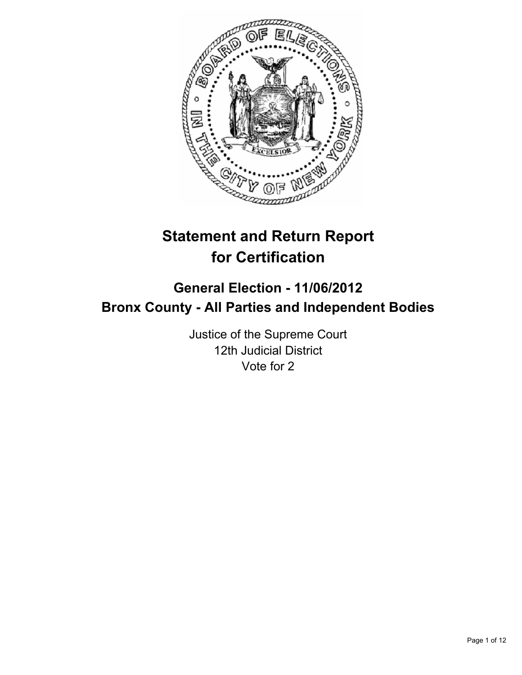

# **Statement and Return Report for Certification**

## **General Election - 11/06/2012 Bronx County - All Parties and Independent Bodies**

Justice of the Supreme Court 12th Judicial District Vote for 2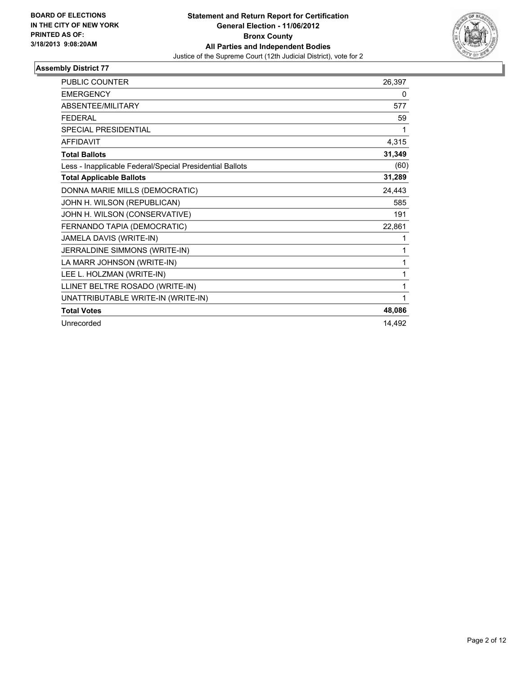

| <b>PUBLIC COUNTER</b>                                    | 26,397 |
|----------------------------------------------------------|--------|
| <b>EMERGENCY</b>                                         | 0      |
| ABSENTEE/MILITARY                                        | 577    |
| <b>FEDERAL</b>                                           | 59     |
| <b>SPECIAL PRESIDENTIAL</b>                              | 1      |
| <b>AFFIDAVIT</b>                                         | 4,315  |
| <b>Total Ballots</b>                                     | 31,349 |
| Less - Inapplicable Federal/Special Presidential Ballots | (60)   |
| <b>Total Applicable Ballots</b>                          | 31,289 |
| DONNA MARIE MILLS (DEMOCRATIC)                           | 24,443 |
| JOHN H. WILSON (REPUBLICAN)                              | 585    |
| JOHN H. WILSON (CONSERVATIVE)                            | 191    |
| FERNANDO TAPIA (DEMOCRATIC)                              | 22,861 |
| JAMELA DAVIS (WRITE-IN)                                  | 1      |
| JERRALDINE SIMMONS (WRITE-IN)                            | 1      |
| LA MARR JOHNSON (WRITE-IN)                               | 1      |
| LEE L. HOLZMAN (WRITE-IN)                                | 1      |
| LLINET BELTRE ROSADO (WRITE-IN)                          | 1      |
| UNATTRIBUTABLE WRITE-IN (WRITE-IN)                       | 1      |
| <b>Total Votes</b>                                       | 48,086 |
| Unrecorded                                               | 14,492 |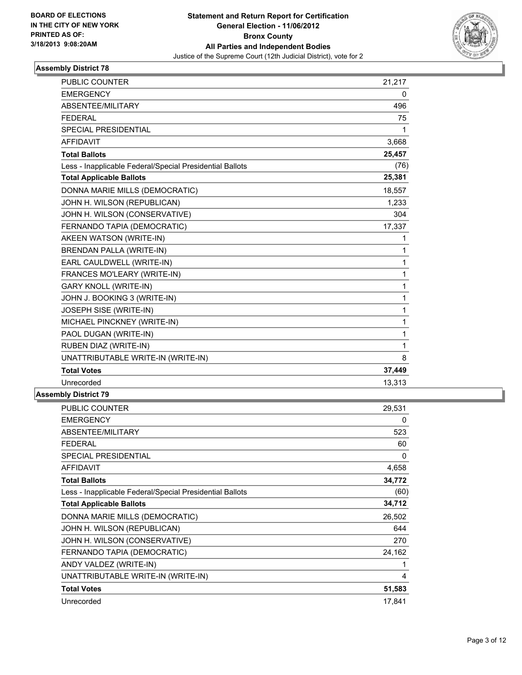

| <b>PUBLIC COUNTER</b>                                    | 21,217       |
|----------------------------------------------------------|--------------|
| <b>EMERGENCY</b>                                         | 0            |
| ABSENTEE/MILITARY                                        | 496          |
| <b>FEDERAL</b>                                           | 75           |
| <b>SPECIAL PRESIDENTIAL</b>                              | 1            |
| <b>AFFIDAVIT</b>                                         | 3,668        |
| <b>Total Ballots</b>                                     | 25,457       |
| Less - Inapplicable Federal/Special Presidential Ballots | (76)         |
| <b>Total Applicable Ballots</b>                          | 25,381       |
| DONNA MARIE MILLS (DEMOCRATIC)                           | 18,557       |
| JOHN H. WILSON (REPUBLICAN)                              | 1,233        |
| JOHN H. WILSON (CONSERVATIVE)                            | 304          |
| FERNANDO TAPIA (DEMOCRATIC)                              | 17,337       |
| AKEEN WATSON (WRITE-IN)                                  | 1            |
| <b>BRENDAN PALLA (WRITE-IN)</b>                          | 1            |
| EARL CAULDWELL (WRITE-IN)                                | $\mathbf{1}$ |
| FRANCES MO'LEARY (WRITE-IN)                              | 1            |
| <b>GARY KNOLL (WRITE-IN)</b>                             | $\mathbf{1}$ |
| JOHN J. BOOKING 3 (WRITE-IN)                             | $\mathbf{1}$ |
| JOSEPH SISE (WRITE-IN)                                   | 1            |
| MICHAEL PINCKNEY (WRITE-IN)                              | $\mathbf{1}$ |
| PAOL DUGAN (WRITE-IN)                                    | 1            |
| RUBEN DIAZ (WRITE-IN)                                    | 1            |
| UNATTRIBUTABLE WRITE-IN (WRITE-IN)                       | 8            |
| <b>Total Votes</b>                                       | 37,449       |
| Unrecorded                                               | 13,313       |
| nhlv Dietriet 70.                                        |              |

| <b>PUBLIC COUNTER</b>                                    | 29,531 |
|----------------------------------------------------------|--------|
| <b>EMERGENCY</b>                                         | 0      |
| ABSENTEE/MILITARY                                        | 523    |
| <b>FEDERAL</b>                                           | 60     |
| <b>SPECIAL PRESIDENTIAL</b>                              | 0      |
| <b>AFFIDAVIT</b>                                         | 4,658  |
| <b>Total Ballots</b>                                     | 34,772 |
| Less - Inapplicable Federal/Special Presidential Ballots | (60)   |
| <b>Total Applicable Ballots</b>                          | 34,712 |
| DONNA MARIE MILLS (DEMOCRATIC)                           | 26,502 |
| JOHN H. WILSON (REPUBLICAN)                              | 644    |
| JOHN H. WILSON (CONSERVATIVE)                            | 270    |
| FERNANDO TAPIA (DEMOCRATIC)                              | 24,162 |
| ANDY VALDEZ (WRITE-IN)                                   |        |
| UNATTRIBUTABLE WRITE-IN (WRITE-IN)                       | 4      |
| <b>Total Votes</b>                                       | 51,583 |
| Unrecorded                                               | 17,841 |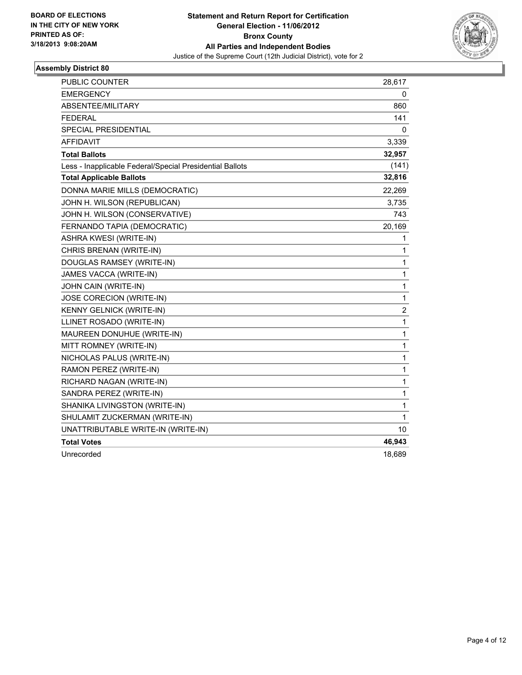

| <b>PUBLIC COUNTER</b>                                    | 28,617       |
|----------------------------------------------------------|--------------|
| <b>EMERGENCY</b>                                         | 0            |
| ABSENTEE/MILITARY                                        | 860          |
| <b>FEDERAL</b>                                           | 141          |
| SPECIAL PRESIDENTIAL                                     | 0            |
| <b>AFFIDAVIT</b>                                         | 3,339        |
| <b>Total Ballots</b>                                     | 32,957       |
| Less - Inapplicable Federal/Special Presidential Ballots | (141)        |
| <b>Total Applicable Ballots</b>                          | 32,816       |
| DONNA MARIE MILLS (DEMOCRATIC)                           | 22,269       |
| JOHN H. WILSON (REPUBLICAN)                              | 3,735        |
| JOHN H. WILSON (CONSERVATIVE)                            | 743          |
| FERNANDO TAPIA (DEMOCRATIC)                              | 20,169       |
| ASHRA KWESI (WRITE-IN)                                   | 1            |
| CHRIS BRENAN (WRITE-IN)                                  | 1            |
| DOUGLAS RAMSEY (WRITE-IN)                                | $\mathbf{1}$ |
| JAMES VACCA (WRITE-IN)                                   | 1            |
| JOHN CAIN (WRITE-IN)                                     | 1            |
| JOSE CORECION (WRITE-IN)                                 | $\mathbf{1}$ |
| <b>KENNY GELNICK (WRITE-IN)</b>                          | 2            |
| LLINET ROSADO (WRITE-IN)                                 | 1            |
| MAUREEN DONUHUE (WRITE-IN)                               | 1            |
| MITT ROMNEY (WRITE-IN)                                   | $\mathbf 1$  |
| NICHOLAS PALUS (WRITE-IN)                                | $\mathbf{1}$ |
| RAMON PEREZ (WRITE-IN)                                   | 1            |
| RICHARD NAGAN (WRITE-IN)                                 | 1            |
| SANDRA PEREZ (WRITE-IN)                                  | $\mathbf{1}$ |
| SHANIKA LIVINGSTON (WRITE-IN)                            | $\mathbf{1}$ |
| SHULAMIT ZUCKERMAN (WRITE-IN)                            | 1            |
| UNATTRIBUTABLE WRITE-IN (WRITE-IN)                       | 10           |
| <b>Total Votes</b>                                       | 46,943       |
| Unrecorded                                               | 18,689       |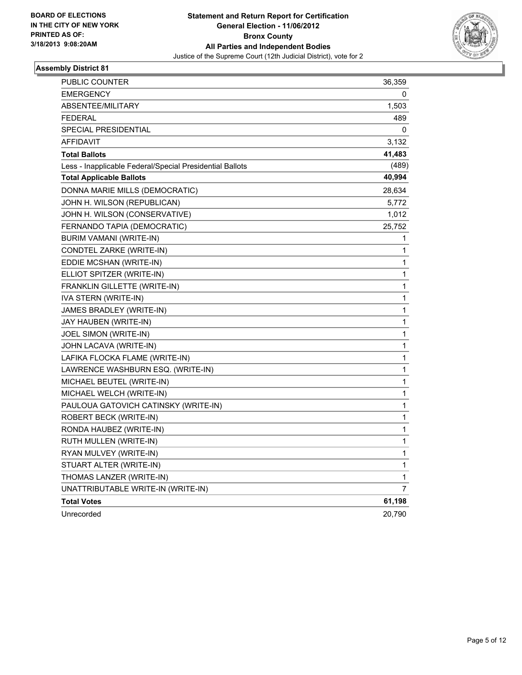

| PUBLIC COUNTER                                           | 36,359      |
|----------------------------------------------------------|-------------|
| <b>EMERGENCY</b>                                         | 0           |
| ABSENTEE/MILITARY                                        | 1,503       |
| <b>FEDERAL</b>                                           | 489         |
| <b>SPECIAL PRESIDENTIAL</b>                              | 0           |
| <b>AFFIDAVIT</b>                                         | 3,132       |
| <b>Total Ballots</b>                                     | 41,483      |
| Less - Inapplicable Federal/Special Presidential Ballots | (489)       |
| <b>Total Applicable Ballots</b>                          | 40,994      |
| DONNA MARIE MILLS (DEMOCRATIC)                           | 28,634      |
| JOHN H. WILSON (REPUBLICAN)                              | 5,772       |
| JOHN H. WILSON (CONSERVATIVE)                            | 1,012       |
| FERNANDO TAPIA (DEMOCRATIC)                              | 25,752      |
| BURIM VAMANI (WRITE-IN)                                  | 1           |
| CONDTEL ZARKE (WRITE-IN)                                 | 1           |
| EDDIE MCSHAN (WRITE-IN)                                  | 1           |
| ELLIOT SPITZER (WRITE-IN)                                | 1           |
| FRANKLIN GILLETTE (WRITE-IN)                             | 1           |
| IVA STERN (WRITE-IN)                                     | 1           |
| JAMES BRADLEY (WRITE-IN)                                 | 1           |
| JAY HAUBEN (WRITE-IN)                                    | 1           |
| JOEL SIMON (WRITE-IN)                                    | 1           |
| JOHN LACAVA (WRITE-IN)                                   | 1           |
| LAFIKA FLOCKA FLAME (WRITE-IN)                           | 1           |
| LAWRENCE WASHBURN ESQ. (WRITE-IN)                        | 1           |
| MICHAEL BEUTEL (WRITE-IN)                                | 1           |
| MICHAEL WELCH (WRITE-IN)                                 | 1           |
| PAULOUA GATOVICH CATINSKY (WRITE-IN)                     | 1           |
| ROBERT BECK (WRITE-IN)                                   | 1           |
| RONDA HAUBEZ (WRITE-IN)                                  | 1           |
| RUTH MULLEN (WRITE-IN)                                   | 1           |
| RYAN MULVEY (WRITE-IN)                                   | $\mathbf 1$ |
| STUART ALTER (WRITE-IN)                                  | $\mathbf 1$ |
| THOMAS LANZER (WRITE-IN)                                 | 1           |
| UNATTRIBUTABLE WRITE-IN (WRITE-IN)                       | 7           |
| <b>Total Votes</b>                                       | 61,198      |
| Unrecorded                                               | 20,790      |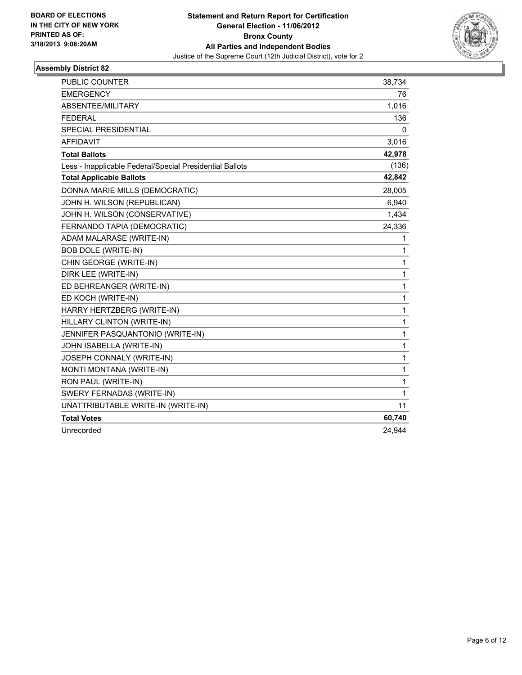

| <b>PUBLIC COUNTER</b>                                    | 38,734       |
|----------------------------------------------------------|--------------|
| <b>EMERGENCY</b>                                         | 76           |
| ABSENTEE/MILITARY                                        | 1,016        |
| <b>FEDERAL</b>                                           | 136          |
| <b>SPECIAL PRESIDENTIAL</b>                              | 0            |
| <b>AFFIDAVIT</b>                                         | 3,016        |
| <b>Total Ballots</b>                                     | 42,978       |
| Less - Inapplicable Federal/Special Presidential Ballots | (136)        |
| <b>Total Applicable Ballots</b>                          | 42,842       |
| DONNA MARIE MILLS (DEMOCRATIC)                           | 28,005       |
| JOHN H. WILSON (REPUBLICAN)                              | 6,940        |
| JOHN H. WILSON (CONSERVATIVE)                            | 1,434        |
| FERNANDO TAPIA (DEMOCRATIC)                              | 24,336       |
| ADAM MALARASE (WRITE-IN)                                 | 1            |
| <b>BOB DOLE (WRITE-IN)</b>                               | 1            |
| CHIN GEORGE (WRITE-IN)                                   | 1            |
| DIRK LEE (WRITE-IN)                                      | 1            |
| ED BEHREANGER (WRITE-IN)                                 | 1            |
| ED KOCH (WRITE-IN)                                       | 1            |
| HARRY HERTZBERG (WRITE-IN)                               | 1            |
| HILLARY CLINTON (WRITE-IN)                               | $\mathbf{1}$ |
| JENNIFER PASQUANTONIO (WRITE-IN)                         | 1            |
| JOHN ISABELLA (WRITE-IN)                                 | 1            |
| JOSEPH CONNALY (WRITE-IN)                                | 1            |
| MONTI MONTANA (WRITE-IN)                                 | 1            |
| RON PAUL (WRITE-IN)                                      | 1            |
| SWERY FERNADAS (WRITE-IN)                                | 1            |
| UNATTRIBUTABLE WRITE-IN (WRITE-IN)                       | 11           |
| <b>Total Votes</b>                                       | 60,740       |
| Unrecorded                                               | 24,944       |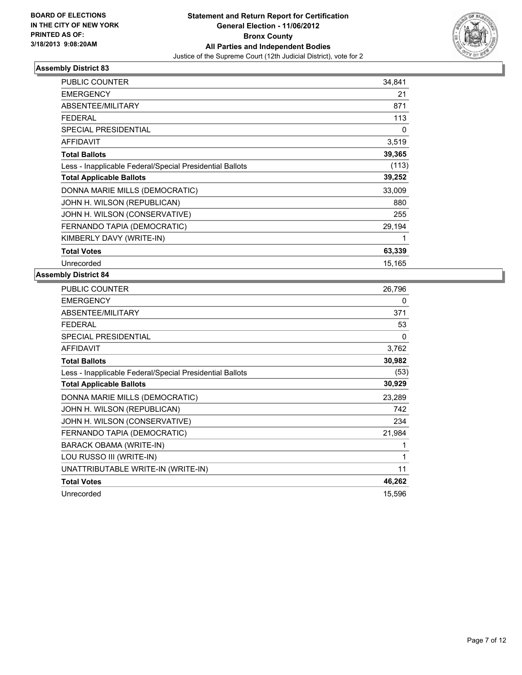

| <b>PUBLIC COUNTER</b>                                    | 34,841 |
|----------------------------------------------------------|--------|
| <b>EMERGENCY</b>                                         | 21     |
| ABSENTEE/MILITARY                                        | 871    |
| FEDERAL                                                  | 113    |
| <b>SPECIAL PRESIDENTIAL</b>                              | 0      |
| <b>AFFIDAVIT</b>                                         | 3,519  |
| <b>Total Ballots</b>                                     | 39,365 |
| Less - Inapplicable Federal/Special Presidential Ballots | (113)  |
| <b>Total Applicable Ballots</b>                          | 39,252 |
| DONNA MARIE MILLS (DEMOCRATIC)                           | 33,009 |
| JOHN H. WILSON (REPUBLICAN)                              | 880    |
| JOHN H. WILSON (CONSERVATIVE)                            | 255    |
| FERNANDO TAPIA (DEMOCRATIC)                              | 29,194 |
| KIMBERLY DAVY (WRITE-IN)                                 | 1      |
| <b>Total Votes</b>                                       | 63,339 |
| Unrecorded                                               | 15,165 |

| PUBLIC COUNTER                                           | 26,796   |
|----------------------------------------------------------|----------|
| <b>EMERGENCY</b>                                         | 0        |
| ABSENTEE/MILITARY                                        | 371      |
| <b>FEDERAL</b>                                           | 53       |
| <b>SPECIAL PRESIDENTIAL</b>                              | $\Omega$ |
| <b>AFFIDAVIT</b>                                         | 3,762    |
| <b>Total Ballots</b>                                     | 30,982   |
| Less - Inapplicable Federal/Special Presidential Ballots | (53)     |
| <b>Total Applicable Ballots</b>                          | 30,929   |
| DONNA MARIE MILLS (DEMOCRATIC)                           | 23,289   |
| JOHN H. WILSON (REPUBLICAN)                              | 742      |
| JOHN H. WILSON (CONSERVATIVE)                            | 234      |
| FERNANDO TAPIA (DEMOCRATIC)                              | 21,984   |
| BARACK OBAMA (WRITE-IN)                                  | 1        |
| LOU RUSSO III (WRITE-IN)                                 | 1        |
| UNATTRIBUTABLE WRITE-IN (WRITE-IN)                       | 11       |
| <b>Total Votes</b>                                       | 46,262   |
| Unrecorded                                               | 15,596   |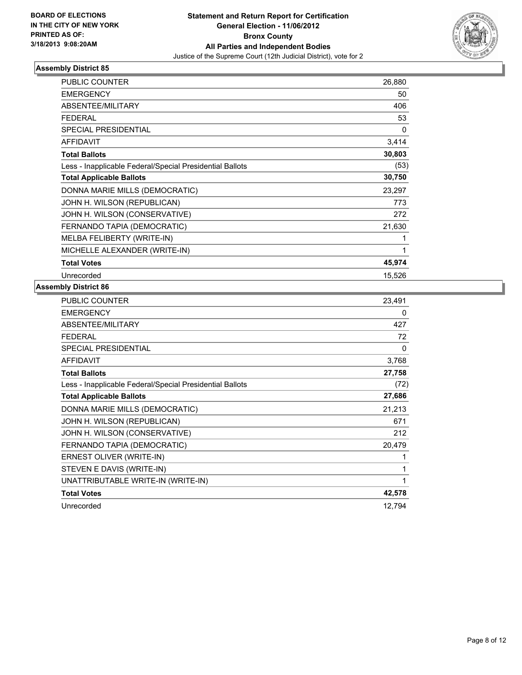

| <b>PUBLIC COUNTER</b>                                    | 26,880 |
|----------------------------------------------------------|--------|
| <b>EMERGENCY</b>                                         | 50     |
| <b>ABSENTEE/MILITARY</b>                                 | 406    |
| <b>FEDERAL</b>                                           | 53     |
| <b>SPECIAL PRESIDENTIAL</b>                              | 0      |
| <b>AFFIDAVIT</b>                                         | 3,414  |
| <b>Total Ballots</b>                                     | 30,803 |
| Less - Inapplicable Federal/Special Presidential Ballots | (53)   |
| <b>Total Applicable Ballots</b>                          | 30,750 |
| DONNA MARIE MILLS (DEMOCRATIC)                           | 23,297 |
| JOHN H. WILSON (REPUBLICAN)                              | 773    |
| JOHN H. WILSON (CONSERVATIVE)                            | 272    |
| FERNANDO TAPIA (DEMOCRATIC)                              | 21,630 |
| MELBA FELIBERTY (WRITE-IN)                               |        |
| MICHELLE ALEXANDER (WRITE-IN)                            | 1      |
| <b>Total Votes</b>                                       | 45,974 |
| Unrecorded                                               | 15,526 |

| PUBLIC COUNTER                                           | 23,491 |
|----------------------------------------------------------|--------|
| <b>EMERGENCY</b>                                         | 0      |
| ABSENTEE/MILITARY                                        | 427    |
| <b>FEDERAL</b>                                           | 72     |
| <b>SPECIAL PRESIDENTIAL</b>                              | 0      |
| <b>AFFIDAVIT</b>                                         | 3,768  |
| <b>Total Ballots</b>                                     | 27,758 |
| Less - Inapplicable Federal/Special Presidential Ballots | (72)   |
| <b>Total Applicable Ballots</b>                          | 27,686 |
| DONNA MARIE MILLS (DEMOCRATIC)                           | 21,213 |
| JOHN H. WILSON (REPUBLICAN)                              | 671    |
| JOHN H. WILSON (CONSERVATIVE)                            | 212    |
| FERNANDO TAPIA (DEMOCRATIC)                              | 20,479 |
| ERNEST OLIVER (WRITE-IN)                                 | 1      |
| STEVEN E DAVIS (WRITE-IN)                                | 1      |
| UNATTRIBUTABLE WRITE-IN (WRITE-IN)                       | 1      |
| <b>Total Votes</b>                                       | 42,578 |
| Unrecorded                                               | 12,794 |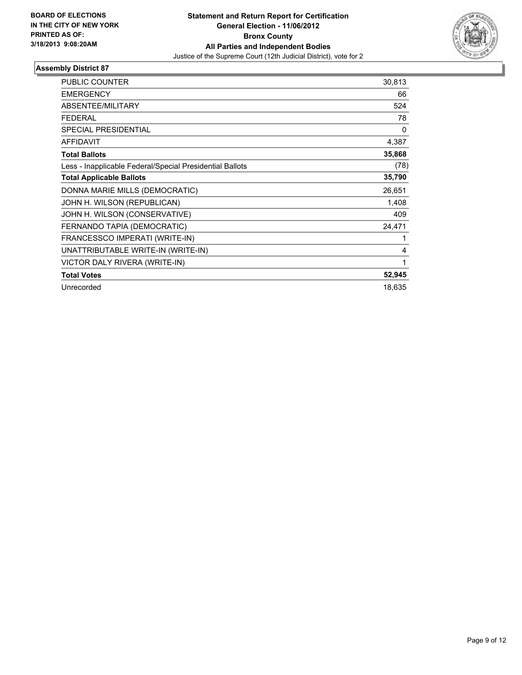

| <b>PUBLIC COUNTER</b>                                    | 30,813 |
|----------------------------------------------------------|--------|
| <b>EMERGENCY</b>                                         | 66     |
| ABSENTEE/MILITARY                                        | 524    |
| FEDERAL                                                  | 78     |
| <b>SPECIAL PRESIDENTIAL</b>                              | 0      |
| <b>AFFIDAVIT</b>                                         | 4,387  |
| <b>Total Ballots</b>                                     | 35,868 |
| Less - Inapplicable Federal/Special Presidential Ballots | (78)   |
| <b>Total Applicable Ballots</b>                          | 35,790 |
| DONNA MARIE MILLS (DEMOCRATIC)                           | 26,651 |
| JOHN H. WILSON (REPUBLICAN)                              | 1,408  |
| JOHN H. WILSON (CONSERVATIVE)                            | 409    |
| FERNANDO TAPIA (DEMOCRATIC)                              | 24,471 |
| FRANCESSCO IMPERATI (WRITE-IN)                           | 1      |
| UNATTRIBUTABLE WRITE-IN (WRITE-IN)                       | 4      |
| VICTOR DALY RIVERA (WRITE-IN)                            | 1      |
| <b>Total Votes</b>                                       | 52,945 |
| Unrecorded                                               | 18,635 |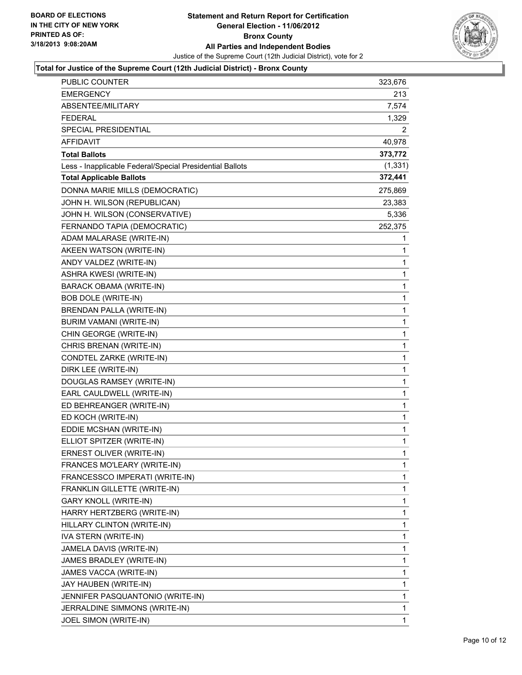

## **Total for Justice of the Supreme Court (12th Judicial District) - Bronx County**

| <b>PUBLIC COUNTER</b>                                    | 323,676  |
|----------------------------------------------------------|----------|
| EMERGENCY                                                | 213      |
| <b>ABSENTEE/MILITARY</b>                                 | 7,574    |
| FEDERAL                                                  | 1,329    |
| SPECIAL PRESIDENTIAL                                     | 2        |
| AFFIDAVIT                                                | 40,978   |
| <b>Total Ballots</b>                                     | 373,772  |
| Less - Inapplicable Federal/Special Presidential Ballots | (1, 331) |
| <b>Total Applicable Ballots</b>                          | 372,441  |
| DONNA MARIE MILLS (DEMOCRATIC)                           | 275,869  |
| JOHN H. WILSON (REPUBLICAN)                              | 23,383   |
| JOHN H. WILSON (CONSERVATIVE)                            | 5,336    |
| FERNANDO TAPIA (DEMOCRATIC)                              | 252,375  |
| ADAM MALARASE (WRITE-IN)                                 | 1        |
| AKEEN WATSON (WRITE-IN)                                  | 1        |
| ANDY VALDEZ (WRITE-IN)                                   | 1        |
| ASHRA KWESI (WRITE-IN)                                   | 1        |
| <b>BARACK OBAMA (WRITE-IN)</b>                           | 1        |
| <b>BOB DOLE (WRITE-IN)</b>                               | 1        |
| BRENDAN PALLA (WRITE-IN)                                 | 1        |
| BURIM VAMANI (WRITE-IN)                                  | 1        |
| CHIN GEORGE (WRITE-IN)                                   | 1        |
| CHRIS BRENAN (WRITE-IN)                                  | 1        |
| CONDTEL ZARKE (WRITE-IN)                                 | 1        |
| DIRK LEE (WRITE-IN)                                      | 1        |
| DOUGLAS RAMSEY (WRITE-IN)                                | 1        |
| EARL CAULDWELL (WRITE-IN)                                | 1        |
| ED BEHREANGER (WRITE-IN)                                 | 1        |
| ED KOCH (WRITE-IN)                                       | 1        |
| EDDIE MCSHAN (WRITE-IN)                                  | 1        |
| ELLIOT SPITZER (WRITE-IN)                                | 1        |
| ERNEST OLIVER (WRITE-IN)                                 | 1        |
| FRANCES MO'LEARY (WRITE-IN)                              | 1        |
| FRANCESSCO IMPERATI (WRITE-IN)                           | 1        |
| FRANKLIN GILLETTE (WRITE-IN)                             | 1        |
| GARY KNOLL (WRITE-IN)                                    | 1        |
| HARRY HERTZBERG (WRITE-IN)                               | 1        |
| HILLARY CLINTON (WRITE-IN)                               | 1        |
| IVA STERN (WRITE-IN)                                     | 1        |
| JAMELA DAVIS (WRITE-IN)                                  | 1        |
| JAMES BRADLEY (WRITE-IN)                                 | 1        |
| JAMES VACCA (WRITE-IN)                                   | 1        |
| JAY HAUBEN (WRITE-IN)                                    | 1        |
| JENNIFER PASQUANTONIO (WRITE-IN)                         | 1        |
| JERRALDINE SIMMONS (WRITE-IN)                            | 1        |
| JOEL SIMON (WRITE-IN)                                    | 1        |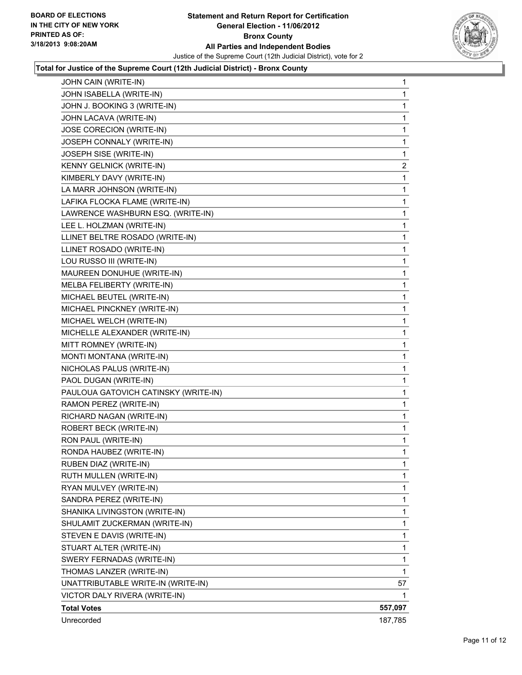

## **Total for Justice of the Supreme Court (12th Judicial District) - Bronx County**

| JOHN CAIN (WRITE-IN)                 | $\mathbf{1}$ |
|--------------------------------------|--------------|
| JOHN ISABELLA (WRITE-IN)             | 1            |
| JOHN J. BOOKING 3 (WRITE-IN)         | 1            |
| JOHN LACAVA (WRITE-IN)               | 1            |
| JOSE CORECION (WRITE-IN)             | 1            |
| JOSEPH CONNALY (WRITE-IN)            | 1            |
| JOSEPH SISE (WRITE-IN)               | 1            |
| KENNY GELNICK (WRITE-IN)             | $\mathbf{2}$ |
| KIMBERLY DAVY (WRITE-IN)             | 1            |
| LA MARR JOHNSON (WRITE-IN)           | 1            |
| LAFIKA FLOCKA FLAME (WRITE-IN)       | 1            |
| LAWRENCE WASHBURN ESQ. (WRITE-IN)    | 1            |
| LEE L. HOLZMAN (WRITE-IN)            | 1            |
| LLINET BELTRE ROSADO (WRITE-IN)      | 1            |
| LLINET ROSADO (WRITE-IN)             | 1            |
| LOU RUSSO III (WRITE-IN)             | 1            |
| MAUREEN DONUHUE (WRITE-IN)           | 1            |
| MELBA FELIBERTY (WRITE-IN)           | 1            |
| MICHAEL BEUTEL (WRITE-IN)            | 1            |
| MICHAEL PINCKNEY (WRITE-IN)          | 1            |
| MICHAEL WELCH (WRITE-IN)             | 1            |
| MICHELLE ALEXANDER (WRITE-IN)        | 1            |
| MITT ROMNEY (WRITE-IN)               | 1            |
| MONTI MONTANA (WRITE-IN)             | 1            |
| NICHOLAS PALUS (WRITE-IN)            | 1            |
| PAOL DUGAN (WRITE-IN)                | 1            |
| PAULOUA GATOVICH CATINSKY (WRITE-IN) | 1            |
| RAMON PEREZ (WRITE-IN)               | 1            |
| RICHARD NAGAN (WRITE-IN)             | 1            |
| ROBERT BECK (WRITE-IN)               | 1            |
| RON PAUL (WRITE-IN)                  | 1            |
| RONDA HAUBEZ (WRITE-IN)              | 1            |
| RUBEN DIAZ (WRITE-IN)                | 1            |
| RUTH MULLEN (WRITE-IN)               | 1            |
| RYAN MULVEY (WRITE-IN)               | 1            |
| SANDRA PEREZ (WRITE-IN)              | 1            |
| SHANIKA LIVINGSTON (WRITE-IN)        | 1            |
| SHULAMIT ZUCKERMAN (WRITE-IN)        | 1            |
| STEVEN E DAVIS (WRITE-IN)            | 1            |
| STUART ALTER (WRITE-IN)              | 1            |
| SWERY FERNADAS (WRITE-IN)            | 1            |
| THOMAS LANZER (WRITE-IN)             | 1            |
| UNATTRIBUTABLE WRITE-IN (WRITE-IN)   | 57           |
| VICTOR DALY RIVERA (WRITE-IN)        | 1            |
| <b>Total Votes</b>                   | 557,097      |
| Unrecorded                           | 187,785      |